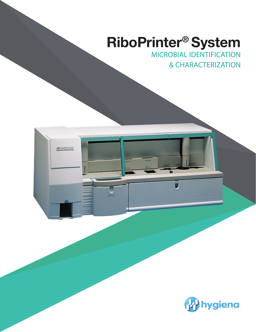# **RiboPrinter® System**

MICROBIAL IDENTIFICATION & CHARACTERIZATION



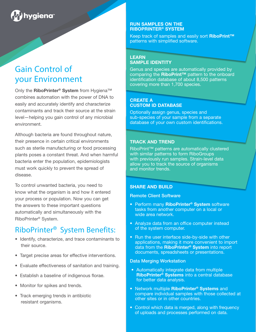# hygiena<sup>®</sup>

# Gain Control of your Environment

Only the **RiboPrinter® System** from Hygiena™ combines automation with the power of DNA to easily and accurately identify and characterize contaminants and track their source at the strain level—helping you gain control of any microbial environment.

Although bacteria are found throughout nature, their presence in certain critical environments such as sterile manufacturing or food processing plants poses a constant threat. And when harmful bacteria enter the population, epidemiologists must work quickly to prevent the spread of disease.

To control unwanted bacteria, you need to know what the organism is and how it entered your process or population. Now you can get the answers to these important questions automatically and simultaneously with the RiboPrinter® System.

# RiboPrinter® System Benefits:

- Identify, characterize, and trace contaminants to their source.
- Target precise areas for effective interventions.
- Evaluate effectiveness of sanitation and training.
- Establish a baseline of indigenous florae.
- Monitor for spikes and trends.
- Track emerging trends in antibiotic resistant organisms.

## **RUN SAMPLES ON THE RIBOPRINTER® SYSTEM**

Keep track of samples and easily sort **RiboPrint™** patterns with simplified software.

## **LEARN SAMPLE IDENTITY**

Genus and species are automatically provided by comparing the **RiboPrint™** pattern to the onboard identification database of about 8,500 patterns covering more than 1,700 species.

### **CREATE A CUSTOM ID DATABASE**

Optionally assign genus, species and sub-species of your sample from a separate database of your own custom identifications.

# **TRACK AND TREND**

RiboPrint™ patterns are automatically clustered with similar patterns to form RiboGroups with previously run samples. Strain-level data allow you to track the source of organisms and monitor trends.

## **SHARE AND BUILD**

Remote Client Software

- Perform many **RiboPrinter® System** software tasks from another computer on a local or wide area network.
- Analyze data from an office computer instead of the system computer.
- Run the user interface side-by-side with other applications, making it more convenient to import data from the **RiboPrinter® System** into report documents, spreadsheets or presentations.

## Data Merging Workstation

- Automatically integrate data from multiple **RiboPrinter® Systems** into a central database for better data analysis.
- Network multiple **RiboPrinter® Systems** and compare individual samples with those collected at other sites or in other countries.
- Control which data is merged, along with frequency of uploads and processes performed on data.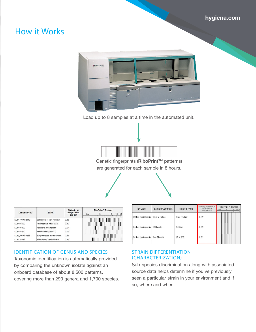# **hygiena.com**

# How it Works



Load up to 8 samples at a time in the automated unit.



Genetic fingerprints (**RiboPrint™** patterns) are generated for each sample in 8 hours.

 $\sim$ 



| <b>Designated ID</b> | Label                       | Similarity to<br><b>Designated ID</b><br>$QC - 101$ | <b>RiboPrint™ Pattern</b><br>15<br>50<br>1 kbp<br>10<br>5 |
|----------------------|-----------------------------|-----------------------------------------------------|-----------------------------------------------------------|
| DUP_PVUII-2049       | Salmonella II ser. Hillbrow | 0.38                                                |                                                           |
| DUP-16090            | Haemophilus influenzae      | 0.10                                                |                                                           |
| DUP-16400            | Neisseria meningitidis      | 0.04                                                |                                                           |
| DUP-18390            | Aeromonas species           | 0.09                                                |                                                           |
| DUP_PVUII-3266       | Streptomyces aureofaciens   | 0.17                                                |                                                           |
| DUP-18221            | Paracoccus denitrificans    | 0.35                                                |                                                           |

# IDENTIFICATION OF GENUS AND SPECIES

Taxonomic identification is automatically provided by comparing the unknown isolate against an onboard database of about 8,500 patterns, covering more than 290 genera and 1,700 species.

| IP Label               | <b>Jailor Community</b>  | 13010000 110111      | 999-281-S-2 | kbp | 10<br>15 50 |
|------------------------|--------------------------|----------------------|-------------|-----|-------------|
| Bacillus thuringiensis | <b>Sterility Failure</b> | <b>Final Product</b> | 0.99        |     |             |
| Bacillus thuringiensis | EM Isolate               | Fill Line            | 0.99        |     |             |
| Bacillus thuringiensis | Raw Material             | LN# 903              | 0.81        |     |             |

Similarity to RiboGroup RiboPrint<sup>TM</sup> Pattern

## STRAIN DIFFERENTIATION (CHARACTERIZATION)

Sub-species discrimination along with associated source data helps determine if you've previously seen a particular strain in your environment and if so, where and when.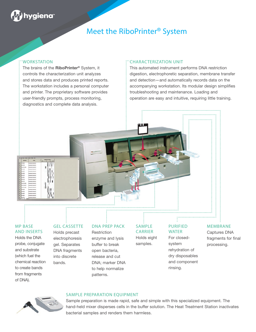# hygiena

# Meet the RiboPrinter® System

## WORKSTATION

The brains of the **RiboPrinter®** System, it controls the characterization unit analyzes and stores data and produces printed reports. The workstation includes a personal computer and printer. The proprietary software provides user-friendly prompts, process monitoring, diagnostics and complete data analysis.

## CHARACTERIZATION UNIT

This automated instrument performs DNA restriction digestion, electrophoretic separation, membrane transfer and detection—and automatically records data on the accompanying workstation. Its modular design simplifies troubleshooting and maintenance. Loading and operation are easy and intuitive, requiring little training.

## MP BASE AND INSERTS

Holds the DNA probe, conjugate and substrate (which fuel the chemical reaction to create bands from fragments of DNA).

# GEL CASSETTE

Holds precast electrophoresis gel. Separates DNA fragments into discrete bands.

## DNA PREP PACK

**Restriction** enzyme and lysis buffer to break open bacteria, release and cut DNA; marker DNA to help normalize patterns.

### SAMPLE CARRIER

Holds eight samples.

# PURIFIED **WATER**

For closedsystem rehydration of dry disposables and component rinsing.

# MEMBRANE

Captures DNA fragments for final processing.



### SAMPLE PREPARATION EQUIPMENT

Sample preparation is made rapid, safe and simple with this specialized equipment. The hand-held mixer disperses cells in the buffer solution. The Heat Treatment Station inactivates bacterial samples and renders them harmless.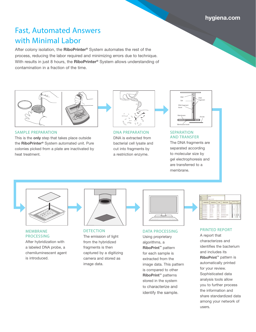# Fast, Automated Answers with Minimal Labor

After colony isolation, the **RiboPrinter®** System automates the rest of the process, reducing the labor required and minimizing errors due to technique. With results in just 8 hours, the **RiboPrinter®** System allows understanding of contamination in a fraction of the time.



SAMPLE PREPARATION

This is the **only** step that takes place outside the **RiboPrinter®** System automated unit. Pure colonies picked from a plate are inactivated by heat treatment.



DNA PREPARATION DNA is extracted from bacterial cell lysate and cut into fragments by a restriction enzyme.



**SEPARATION** AND TRANSFER The DNA fragments are separated according to molecular size by gel electrophoresis and are transferred to a membrane.



### MEMBRANE PROCESSING

After hybridization with a labeled DNA probe, a chemiluminescent agent is introduced.



**DETECTION** The emission of light from the hybridized fragments is then captured by a digitizing camera and stored as image data.

#### DATA PROCESSING

Using proprietary algorithms, a **RiboPrint™** pattern for each sample is extracted from the image data. This pattern is compared to other **RiboPrint™** patterns stored in the system to characterize and identify the sample.

| ie<br>taken<br><b>Good</b> | <b>SLIMBARS</b><br>ы            | esphan Franklin<br>    |                     |                                |                                                                      |
|----------------------------|---------------------------------|------------------------|---------------------|--------------------------------|----------------------------------------------------------------------|
|                            | <b>Bengle Romber</b>            | <b>Business Franci</b> | ۰                   | <b>Bulham ID Label</b>         | <b>Block or 7 Nations</b><br><b>View</b><br>degrada de tanto a famil |
|                            | VINNIGER                        | la - saa ari           |                     | <b><i><u>Advancing</u></i></b> |                                                                      |
|                            | 49954145-9-2                    | <b>Barrow all</b>      | <b>HEAL</b>         | <b>Basheriche lon</b>          |                                                                      |
|                            | $m = 41$                        | <b>Dear Agus</b>       | <b>ISBN</b>         |                                |                                                                      |
|                            | 14080-0043-1                    | <b>Go in 8</b>         | <b><i>BRAND</i></b> |                                |                                                                      |
|                            | 1005201-017                     | <b>Inches</b> of       | m                   | <b>MONTHS</b>                  |                                                                      |
|                            | 12080-026-0-0                   |                        |                     | <b>BAC GLACK</b><br>--         | I                                                                    |
|                            | 180010147                       | Server 14              | <b>ALTAH</b>        | between its 4                  |                                                                      |
|                            | <b><i><u>Literature</u></i></b> |                        | him<br>x            |                                |                                                                      |

### PRINTED REPORT

A report that characterizes and identifies the bacterium and includes its **RiboPrint™** pattern is automatically printed for your review. Sophisticated data analysis tools allow you to further process the information and share standardized data among your network of users.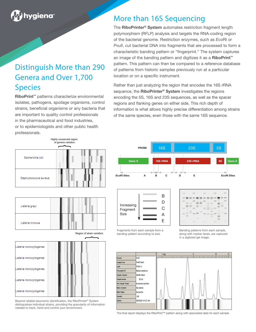# hygiena

# Distinguish More than 290 Genera and Over 1,700 **Species**

**RiboPrint™** patterns characterize environmental isolates, pathogens, spoilage organisms, control strains, beneficial organisms or any bacteria that are important to quality control professionals in the pharmaceutical and food industries, or to epidemiologists and other public health professionals.

# More than 16S Sequencing

The **RiboPrinter® System** automates restriction fragment length polymorphism (RFLP) analysis and targets the RNA-coding region of the bacterial genome. Restriction enzymes, such as *Eco*RI or *PvuII*, cut bacterial DNA into fragments that are processed to form a characteristic banding pattern or "fingerprint." The system captures an image of the banding pattern and digitizes it as a **RiboPrint™** pattern. This pattern can then be compared to a reference database of patterns from historic samples previously run at a particular location or on a specific instrument.

Rather than just analyzing the region that encodes the 16S rRNA sequence, the **RiboPrinter® System** investigates the regions encoding the 5S, 16S and 23S sequences, as well as the spacer regions and flanking genes on either side. This rich depth of information is what allows highly precise differentiation among strains of the same species, even those with the same 16S sequence.



Beyond reliable taxonomic identification, the RiboPrinter® System distinguishes individual strains, providing the granularity of information needed to track, trend and control your environment.

Listeria monocytogenes





The final report displays the RiboPrint™ pattern along with associated data for each sample.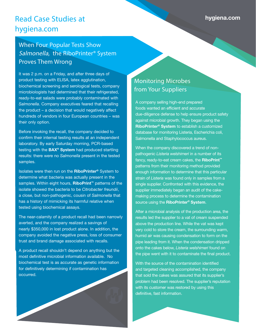# Read Case Studies at hygiena.com

# When Four Popular Tests Show Salmonella, the RiboPrinter® System Proves Them Wrong

It was 2 p.m. on a Friday, and after three days of product testing with ELISA, latex agglutination, biochemical screening and serological tests, company microbiologists had determined that their refrigerated, ready-to-eat salads were probably contaminated with *Salmonella*. Company executives feared that recalling the product – a decision that would negatively affect hundreds of vendors in four European countries – was their only option.

Before invoking the recall, the company decided to confirm their internal testing results at an independent laboratory. By early Saturday morning, PCR-based testing with the **BAX® System** had produced startling results: there were no *Salmonella* present in the tested samples.

Isolates were then run on the **RiboPrinter®** System to determine what bacteria was actually present in the samples. Within eight hours, **RiboPrint™** patterns of the isolate showed the bacteria to be *Citrobacter freundii*, a close, but non-pathogenic, cousin of *Salmonella* that has a history of mimicking its harmful relative when tested using biochemical assays.

The near-calamity of a product recall had been narrowly averted, and the company realized a savings of nearly \$350,000 in lost product alone. In addition, the company avoided the negative press, loss of consumer trust and brand damage associated with recalls.

A product recall shouldn't depend on anything but the most definitive microbial information available. No biochemical test is as accurate as genetic information for definitively determining if contamination has occurred.

# Monitoring Microbes from Your Suppliers

A company selling high-end prepared foods wanted an efficient and accurate due-diligence defense to help ensure product safety against microbial growth. They began using the **RiboPrinter® System** to establish a customized database for monitoring Listeria, Escherichia coli, Salmonella and Staphylococcus aureus.

When the company discovered a trend of nonpathogenic *Listeria welshimeri* in a number of its fancy, ready-to-eat cream cakes, the **RiboPrint™** patterns from their monitoring method provided enough information to determine that this particular strain of *Listeria* was found only in samples from a single supplier. Confronted with this evidence, the supplier immediately began an audit of the cakemaking process to determine the contamination source using the **RiboPrinter® System**.

After a microbial analysis of the production area, the results led the supplier to a vat of cream suspended above the production line. While the vat was kept very cold to store the cream, the surrounding warm, humid air was causing condensation to form on the pipe leading from it. When the condensation dripped onto the cakes below, *Listeria welshimeri* found on the pipe went with it to contaminate the final product.

With the source of the contamination identified and targeted cleaning accomplished, the company that sold the cakes was assured that its supplier's problem had been resolved. The supplier's reputation with its customer was restored by using this definitive, fast information.